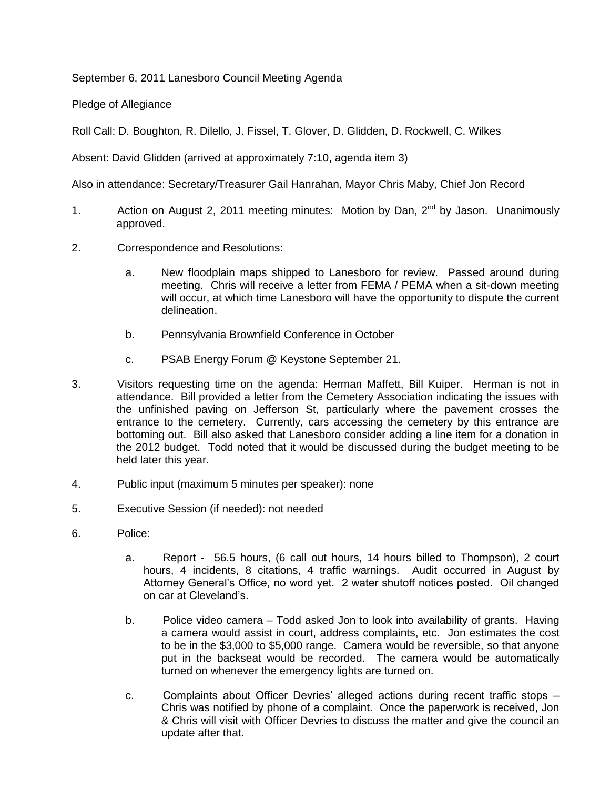September 6, 2011 Lanesboro Council Meeting Agenda

Pledge of Allegiance

Roll Call: D. Boughton, R. Dilello, J. Fissel, T. Glover, D. Glidden, D. Rockwell, C. Wilkes

Absent: David Glidden (arrived at approximately 7:10, agenda item 3)

Also in attendance: Secretary/Treasurer Gail Hanrahan, Mayor Chris Maby, Chief Jon Record

- 1. Action on August 2, 2011 meeting minutes: Motion by Dan, 2<sup>nd</sup> by Jason. Unanimously approved.
- 2. Correspondence and Resolutions:
	- a. New floodplain maps shipped to Lanesboro for review. Passed around during meeting. Chris will receive a letter from FEMA / PEMA when a sit-down meeting will occur, at which time Lanesboro will have the opportunity to dispute the current delineation.
	- b. Pennsylvania Brownfield Conference in October
	- c. PSAB Energy Forum @ Keystone September 21.
- 3. Visitors requesting time on the agenda: Herman Maffett, Bill Kuiper. Herman is not in attendance. Bill provided a letter from the Cemetery Association indicating the issues with the unfinished paving on Jefferson St, particularly where the pavement crosses the entrance to the cemetery. Currently, cars accessing the cemetery by this entrance are bottoming out. Bill also asked that Lanesboro consider adding a line item for a donation in the 2012 budget. Todd noted that it would be discussed during the budget meeting to be held later this year.
- 4. Public input (maximum 5 minutes per speaker): none
- 5. Executive Session (if needed): not needed
- 6. Police:
	- a. Report 56.5 hours, (6 call out hours, 14 hours billed to Thompson), 2 court hours, 4 incidents, 8 citations, 4 traffic warnings. Audit occurred in August by Attorney General's Office, no word yet. 2 water shutoff notices posted. Oil changed on car at Cleveland's.
	- b. Police video camera Todd asked Jon to look into availability of grants. Having a camera would assist in court, address complaints, etc. Jon estimates the cost to be in the \$3,000 to \$5,000 range. Camera would be reversible, so that anyone put in the backseat would be recorded. The camera would be automatically turned on whenever the emergency lights are turned on.
	- c. Complaints about Officer Devries' alleged actions during recent traffic stops Chris was notified by phone of a complaint. Once the paperwork is received, Jon & Chris will visit with Officer Devries to discuss the matter and give the council an update after that.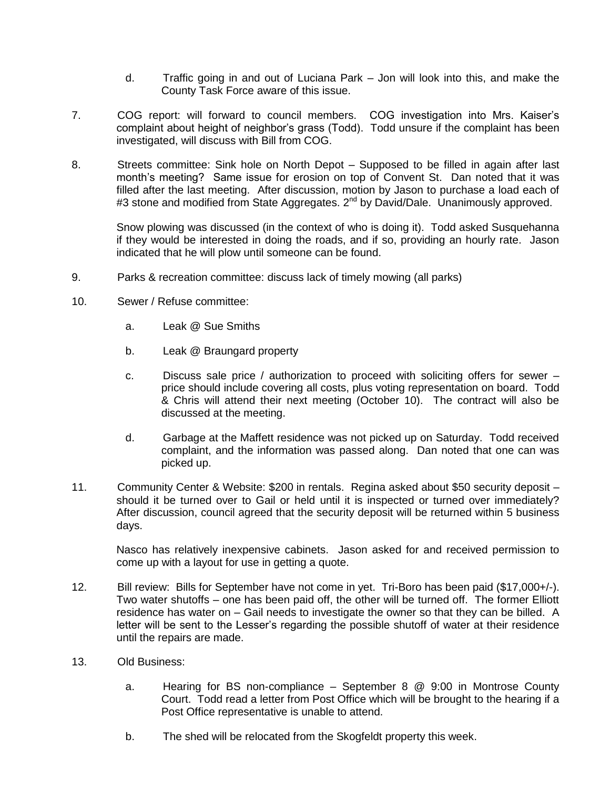- d. Traffic going in and out of Luciana Park Jon will look into this, and make the County Task Force aware of this issue.
- 7. COG report: will forward to council members. COG investigation into Mrs. Kaiser's complaint about height of neighbor's grass (Todd). Todd unsure if the complaint has been investigated, will discuss with Bill from COG.
- 8. Streets committee: Sink hole on North Depot Supposed to be filled in again after last month's meeting? Same issue for erosion on top of Convent St. Dan noted that it was filled after the last meeting. After discussion, motion by Jason to purchase a load each of #3 stone and modified from State Aggregates. 2<sup>nd</sup> by David/Dale. Unanimously approved.

Snow plowing was discussed (in the context of who is doing it). Todd asked Susquehanna if they would be interested in doing the roads, and if so, providing an hourly rate. Jason indicated that he will plow until someone can be found.

- 9. Parks & recreation committee: discuss lack of timely mowing (all parks)
- 10. Sewer / Refuse committee:
	- a. Leak @ Sue Smiths
	- b. Leak @ Braungard property
	- c. Discuss sale price / authorization to proceed with soliciting offers for sewer price should include covering all costs, plus voting representation on board. Todd & Chris will attend their next meeting (October 10). The contract will also be discussed at the meeting.
	- d. Garbage at the Maffett residence was not picked up on Saturday. Todd received complaint, and the information was passed along. Dan noted that one can was picked up.
- 11. Community Center & Website: \$200 in rentals. Regina asked about \$50 security deposit should it be turned over to Gail or held until it is inspected or turned over immediately? After discussion, council agreed that the security deposit will be returned within 5 business days.

Nasco has relatively inexpensive cabinets. Jason asked for and received permission to come up with a layout for use in getting a quote.

- 12. Bill review: Bills for September have not come in yet. Tri-Boro has been paid (\$17,000+/-). Two water shutoffs – one has been paid off, the other will be turned off. The former Elliott residence has water on – Gail needs to investigate the owner so that they can be billed. A letter will be sent to the Lesser's regarding the possible shutoff of water at their residence until the repairs are made.
- 13. Old Business:
	- a. Hearing for BS non-compliance September 8 @ 9:00 in Montrose County Court. Todd read a letter from Post Office which will be brought to the hearing if a Post Office representative is unable to attend.
	- b. The shed will be relocated from the Skogfeldt property this week.